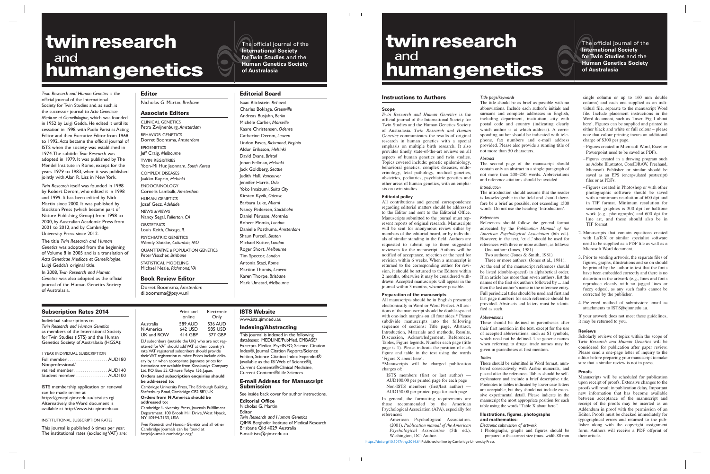# **twin research human genetics**

The official journal of the **International Society for Twin Studies** and the **Human Genetics Society of Australasia**

#### **Instructions to Authors**

#### **Scope**

*Twin Research and Human Genetics* is the official journal of the International Society for Twin Studies and the Human Genetics Society of Australasia. *Twin Research and Human Genetics* communicates the results of original research in human genetics with a special emphasis on multiple birth research. It also provides timely state-of-the-art reviews on all aspects of human genetics and twin studies. Topics covered include: genetic epidemiology, behavioral genetics, complex diseases, endocrinology, fetal pathology, medical genetics, obstetrics, pediatrics, psychiatric genetics and other areas of human genetics, with an emphasis on twin studies.

#### **Editorial policy**

All contributions and general correspondence regarding editorial matters should be addressed to the Editor and sent to the Editorial Office. Manuscripts submitted to the journal must represent reports of original research. Manuscripts will be sent for anonymous review either by members of the editorial board, or by individuals of similar standing in the field. Authors are requested to submit up to three suggested reviewers for the manuscript. Authors will be notified of acceptance, rejection or the need for revision within 6 weeks. When a manuscript is returned to the corresponding author for revision, it should be returned to the Editors within 2 months, otherwise it may be considered withdrawn. Accepted manuscripts will appear in the journal within 3 months, whenever possible.

#### **Preparation of the manuscripts**

All manuscripts should be in English presented electronically in Word or Word Perfect. All sections of the manuscript should be double-spaced with one-inch margins on all four sides.\* Please subdivide manuscripts into the following sequence of sections: Title page, Abstract, Introduction, Materials and methods, Results, Discussion, Acknowledgement, References, Tables, Figure legends. Number each page (title page is 1). Please indicate the position of each figure and table in the text using the words 'Figure X about here'.

\*Manuscripts will be charged publication charges of:

 ISTS members (first or last author) — AUD100.00 per printed page for each page Non-ISTS members (first/last author) — AUD150.00 per printed page for each page

In general, the formatting requirements are those recommended by the American Psychological Association (APA), especially for references:

 American Psychological Association. (2001). *Publication manual of the American Psychological Association* (5th ed.). Washington, DC: Author.

#### *Title page/keywords*

The title should be as brief as possible with no abbreviations. Include each author's initials and surname and complete addresses in English, including department, institution, city with postal code and country (indicating clearly which author is at which address). A corresponding author should be indicated with telephone, fax numbers and e-mail address provided. Please also provide a running title of not more than 50 characters.

#### *Abstract*

The second page of the manuscript should contain only an abstract in a single paragraph of not more than 200–250 words. Abbreviations and reference citations should be avoided.

#### *Introduction*

The introduction should assume that the reader is knowledgeable in the field and should therefore be a brief as possible, not exceeding 1500 words. Do not use the heading 'Introduction'.

#### *References*

References should follow the general format advocated by the *Publication Manual of the American Psychological Association* (6th ed.). However, in the text, 'et al.' should be used for references with three or more authors, as follows:

One author: (Jones, 1981)

Two authors: (Jones & Smith, 1981) Three or more authors: (Jones et al., 1981).

At the end of the manuscript references should be listed (double-spaced) in alphabetical order. If an article has more than seven authors, list the names of the first six authors followed by ... and then the last author's name in the reference entry. Full periodical titles should be used and first and last page numbers for each reference should be provided. Abstracts and letters must be identified as such.

#### *Abbreviations*

These should be defined in parentheses after their first mention in the text, except for the use of accepted abbreviations, such as SI symbols, which need not be defined. Use generic names when referring to drugs; trade names may be given in parentheses at first mention.

#### *Tables*

These should be submitted in Word format, numbered consecutively with Arabic numerals, and placed after the references. Tables should be selfexplanatory and include a brief descriptive title. Footnotes to tables indicated by lower case letters are acceptable, but they should not include extensive experimental detail. Please indicate in the manuscript the most appropriate position for each table using the words "Table X about here".

#### **Illustrations, figures, photographs and mathematics:**

#### *Electronic submission of artwork*

1. Photographs, graphs and figures should be prepared to the correct size (max. width 80 mm single column or up to 160 mm double column) and each one supplied as an individual file, separate to the manuscript Word file. Include placement instructions in the Word document, such as 'Insert Fig 1 about here'. Figures can be supplied and printed in either black and white or full colour – please note that colour printing incurs an additional charge of \$300 per page.

- Figures created in Microsoft Word, Excel or Powerpoint need to be saved as PDFs.
- Figures created in a drawing program such as Adobe Illustrator, CorelDRAW, Freehand, Microsoft Publisher or similar should be saved as an EPS (encapsulated postscript) files or as PDFs.
- Figures created in Photoshop or with other photographic software should be saved with a minimum resolution of 600 dpi and in TIF format. Minimum resolution for scanned graphics is 300 dpi for halftone work (e.g., photographs) and 600 dpi for line art, and these should also be in TIF format.
- 2. Manuscripts that contain equations created with LaTeX or similar specialist software need to be supplied as a PDF file as well as a Microsoft Word document.
- 3. Prior to sending artwork, the separate files of figures, graphs, illustrations and so on should be printed by the author to test that the fonts have been embedded correctly and there is no distortion in the artwork (e.g., lines and fonts reproduce cleanly with no jagged lines or fuzzy edges), as any such faults cannot be corrected by the publisher.
- 4. Preferred method of submission: email as attachments to ISTS@qimr.edu.au.

If your artwork does not meet these guidelines, it may be returned to you.

#### **Reviews**

Scholarly reviews of topics within the scope of *Twin Research and Human Genetics* will be considered for publication after paper review. Please send a one-page letter of inquiry to the editor before preparing your manuscript to make sure that a similar review is not in press.

#### **Proofs**

Manuscripts will be scheduled for publication upon receipt of proofs. Extensive changes to the proofs will result in publication delay. Important new information that has become available between acceptance of the manuscript and receipt of the proofs may be inserted as an Addendum in proof with the permission of an Editor. Proofs must be checked immediately for typographical errors and returned to the publisher along with the copyright assignment form. Authors will receive a PDF offprint of their article.